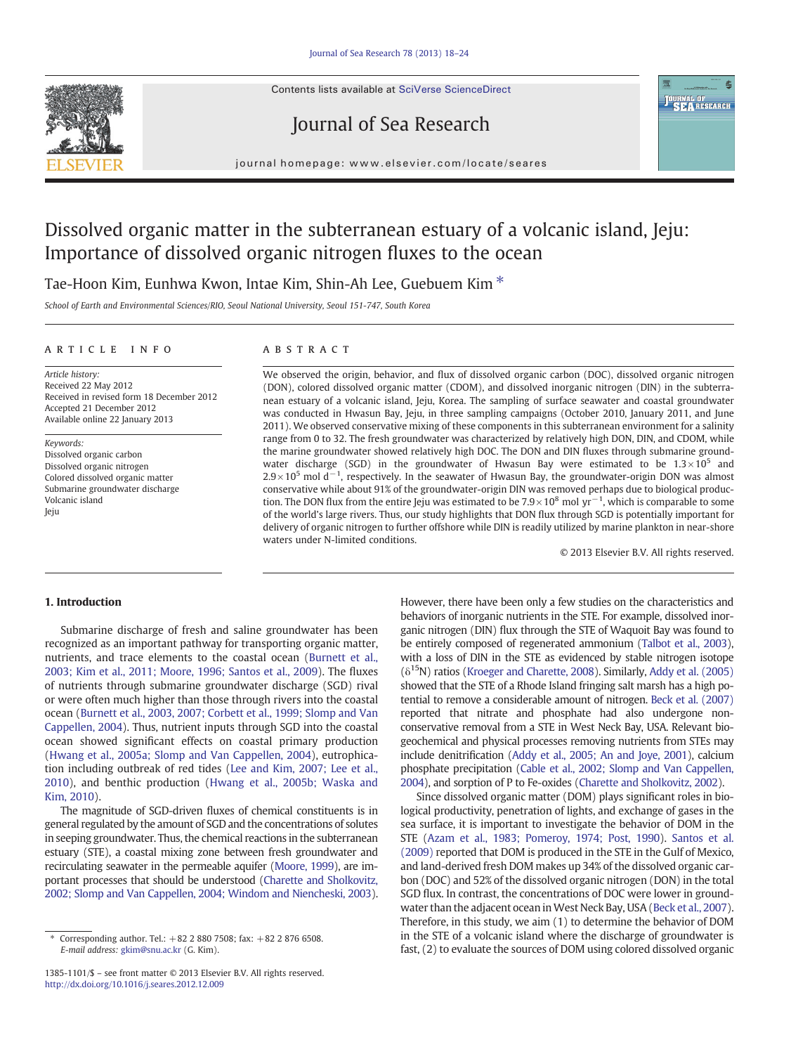Contents lists available at SciVerse ScienceDirect







journal homepage: www.elsevier.com/locate/seares

# Dissolved organic matter in the subterranean estuary of a volcanic island, Jeju: Importance of dissolved organic nitrogen fluxes to the ocean

# Tae-Hoon Kim, Eunhwa Kwon, Intae Kim, Shin-Ah Lee, Guebuem Kim<sup>\*</sup>

School of Earth and Environmental Sciences/RIO, Seoul National University, Seoul 151-747, South Korea

#### article info abstract

Article history: Received 22 May 2012 Received in revised form 18 December 2012 Accepted 21 December 2012 Available online 22 January 2013

Keywords: Dissolved organic carbon Dissolved organic nitrogen Colored dissolved organic matter Submarine groundwater discharge Volcanic island Jeju

We observed the origin, behavior, and flux of dissolved organic carbon (DOC), dissolved organic nitrogen (DON), colored dissolved organic matter (CDOM), and dissolved inorganic nitrogen (DIN) in the subterranean estuary of a volcanic island, Jeju, Korea. The sampling of surface seawater and coastal groundwater was conducted in Hwasun Bay, Jeju, in three sampling campaigns (October 2010, January 2011, and June 2011). We observed conservative mixing of these components in this subterranean environment for a salinity range from 0 to 32. The fresh groundwater was characterized by relatively high DON, DIN, and CDOM, while the marine groundwater showed relatively high DOC. The DON and DIN fluxes through submarine groundwater discharge (SGD) in the groundwater of Hwasun Bay were estimated to be  $1.3 \times 10^5$  and  $2.9 \times 10^5$  mol d<sup>-1</sup> , respectively. In the seawater of Hwasun Bay, the groundwater-origin DON was almost conservative while about 91% of the groundwater-origin DIN was removed perhaps due to biological production. The DON flux from the entire Jeju was estimated to be  $7.9 \times 10^8$  mol yr<sup>-1</sup>, which is comparable to some of the world's large rivers. Thus, our study highlights that DON flux through SGD is potentially important for delivery of organic nitrogen to further offshore while DIN is readily utilized by marine plankton in near-shore waters under N-limited conditions.

© 2013 Elsevier B.V. All rights reserved.

# 1. Introduction

Submarine discharge of fresh and saline groundwater has been recognized as an important pathway for transporting organic matter, nutrients, and trace elements to the coastal ocean ([Burnett et al.,](#page-5-0) [2003; Kim et al., 2011; Moore, 1996; Santos et al., 2009](#page-5-0)). The fluxes of nutrients through submarine groundwater discharge (SGD) rival or were often much higher than those through rivers into the coastal ocean ([Burnett et al., 2003, 2007; Corbett et al., 1999; Slomp and Van](#page-5-0) [Cappellen, 2004](#page-5-0)). Thus, nutrient inputs through SGD into the coastal ocean showed significant effects on coastal primary production [\(Hwang et al., 2005a; Slomp and Van Cappellen, 2004](#page-6-0)), eutrophication including outbreak of red tides ([Lee and Kim, 2007; Lee et al.,](#page-6-0) [2010\)](#page-6-0), and benthic production [\(Hwang et al., 2005b; Waska and](#page-6-0) [Kim, 2010\)](#page-6-0).

The magnitude of SGD-driven fluxes of chemical constituents is in general regulated by the amount of SGD and the concentrations of solutes in seeping groundwater. Thus, the chemical reactions in the subterranean estuary (STE), a coastal mixing zone between fresh groundwater and recirculating seawater in the permeable aquifer [\(Moore, 1999](#page-6-0)), are important processes that should be understood ([Charette and Sholkovitz,](#page-5-0) [2002; Slomp and Van Cappellen, 2004; Windom and Niencheski, 2003\)](#page-5-0).

However, there have been only a few studies on the characteristics and behaviors of inorganic nutrients in the STE. For example, dissolved inorganic nitrogen (DIN) flux through the STE of Waquoit Bay was found to be entirely composed of regenerated ammonium [\(Talbot et al., 2003\)](#page-6-0), with a loss of DIN in the STE as evidenced by stable nitrogen isotope  $(\delta^{15}N)$  ratios ([Kroeger and Charette, 2008\)](#page-6-0). Similarly, [Addy et al. \(2005\)](#page-5-0) showed that the STE of a Rhode Island fringing salt marsh has a high potential to remove a considerable amount of nitrogen. [Beck et al. \(2007\)](#page-5-0) reported that nitrate and phosphate had also undergone nonconservative removal from a STE in West Neck Bay, USA. Relevant biogeochemical and physical processes removing nutrients from STEs may include denitrification [\(Addy et al., 2005; An and Joye, 2001\)](#page-5-0), calcium phosphate precipitation [\(Cable et al., 2002; Slomp and Van Cappellen,](#page-5-0) [2004](#page-5-0)), and sorption of P to Fe-oxides [\(Charette and Sholkovitz, 2002\)](#page-5-0).

Since dissolved organic matter (DOM) plays significant roles in biological productivity, penetration of lights, and exchange of gases in the sea surface, it is important to investigate the behavior of DOM in the STE [\(Azam et al., 1983; Pomeroy, 1974; Post, 1990\)](#page-5-0). [Santos et al.](#page-6-0) [\(2009\)](#page-6-0) reported that DOM is produced in the STE in the Gulf of Mexico, and land-derived fresh DOM makes up 34% of the dissolved organic carbon (DOC) and 52% of the dissolved organic nitrogen (DON) in the total SGD flux. In contrast, the concentrations of DOC were lower in groundwater than the adjacent ocean in West Neck Bay, USA [\(Beck et al., 2007\)](#page-5-0). Therefore, in this study, we aim (1) to determine the behavior of DOM in the STE of a volcanic island where the discharge of groundwater is fast, (2) to evaluate the sources of DOM using colored dissolved organic

<sup>⁎</sup> Corresponding author. Tel.: +82 2 880 7508; fax: +82 2 876 6508. E-mail address: [gkim@snu.ac.kr](mailto:gkim@snu.ac.kr) (G. Kim).

<sup>1385-1101/\$</sup> – see front matter © 2013 Elsevier B.V. All rights reserved. <http://dx.doi.org/10.1016/j.seares.2012.12.009>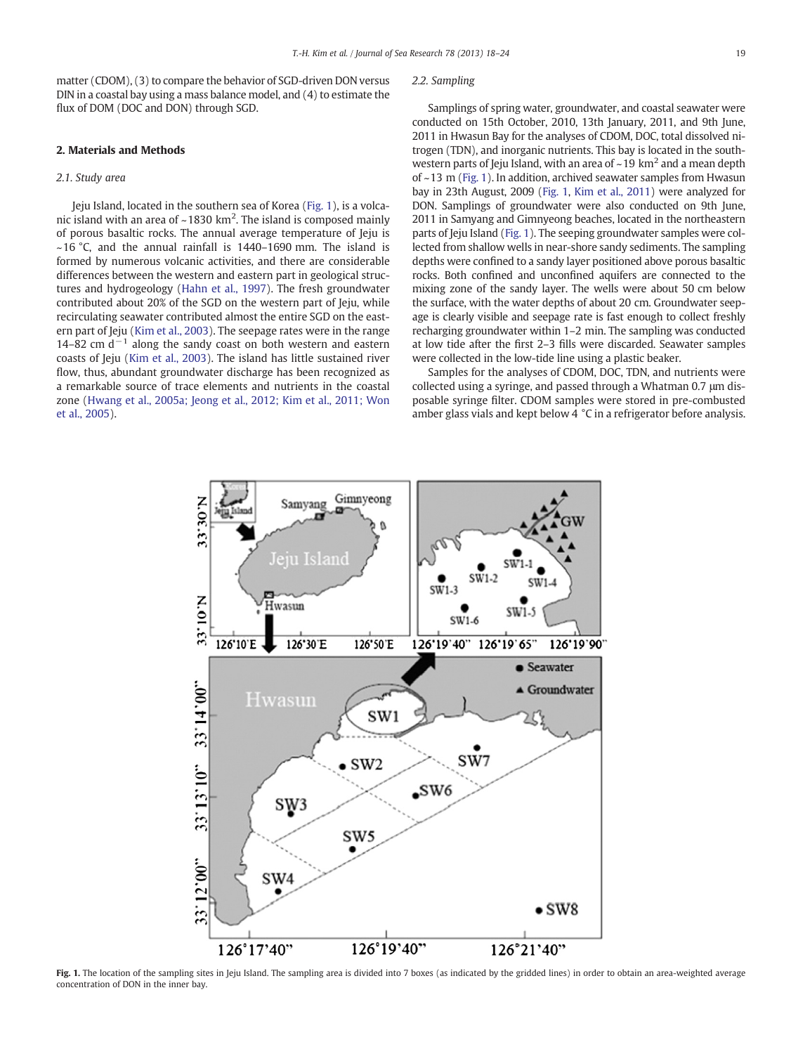<span id="page-1-0"></span>matter (CDOM), (3) to compare the behavior of SGD-driven DON versus DIN in a coastal bay using a mass balance model, and (4) to estimate the flux of DOM (DOC and DON) through SGD.

#### 2. Materials and Methods

## 2.1. Study area

Jeju Island, located in the southern sea of Korea (Fig. 1), is a volcanic island with an area of ~1830 km<sup>2</sup>. The island is composed mainly of porous basaltic rocks. The annual average temperature of Jeju is  $~16$  °C, and the annual rainfall is 1440–1690 mm. The island is formed by numerous volcanic activities, and there are considerable differences between the western and eastern part in geological structures and hydrogeology ([Hahn et al., 1997\)](#page-6-0). The fresh groundwater contributed about 20% of the SGD on the western part of Jeju, while recirculating seawater contributed almost the entire SGD on the eastern part of Jeju [\(Kim et al., 2003](#page-6-0)). The seepage rates were in the range 14–82 cm  $d^{-1}$  along the sandy coast on both western and eastern coasts of Jeju [\(Kim et al., 2003\)](#page-6-0). The island has little sustained river flow, thus, abundant groundwater discharge has been recognized as a remarkable source of trace elements and nutrients in the coastal zone ([Hwang et al., 2005a; Jeong et al., 2012; Kim et al., 2011; Won](#page-6-0) [et al., 2005\)](#page-6-0).

#### 2.2. Sampling

Samplings of spring water, groundwater, and coastal seawater were conducted on 15th October, 2010, 13th January, 2011, and 9th June, 2011 in Hwasun Bay for the analyses of CDOM, DOC, total dissolved nitrogen (TDN), and inorganic nutrients. This bay is located in the southwestern parts of Jeju Island, with an area of  $\sim$  19 km<sup>2</sup> and a mean depth of ~13 m (Fig. 1). In addition, archived seawater samples from Hwasun bay in 23th August, 2009 (Fig. 1, [Kim et al., 2011\)](#page-6-0) were analyzed for DON. Samplings of groundwater were also conducted on 9th June, 2011 in Samyang and Gimnyeong beaches, located in the northeastern parts of Jeju Island (Fig. 1). The seeping groundwater samples were collected from shallow wells in near-shore sandy sediments. The sampling depths were confined to a sandy layer positioned above porous basaltic rocks. Both confined and unconfined aquifers are connected to the mixing zone of the sandy layer. The wells were about 50 cm below the surface, with the water depths of about 20 cm. Groundwater seepage is clearly visible and seepage rate is fast enough to collect freshly recharging groundwater within 1–2 min. The sampling was conducted at low tide after the first 2–3 fills were discarded. Seawater samples were collected in the low-tide line using a plastic beaker.

Samples for the analyses of CDOM, DOC, TDN, and nutrients were collected using a syringe, and passed through a Whatman 0.7 μm disposable syringe filter. CDOM samples were stored in pre-combusted amber glass vials and kept below 4 °C in a refrigerator before analysis.



Fig. 1. The location of the sampling sites in Jeju Island. The sampling area is divided into 7 boxes (as indicated by the gridded lines) in order to obtain an area-weighted average concentration of DON in the inner bay.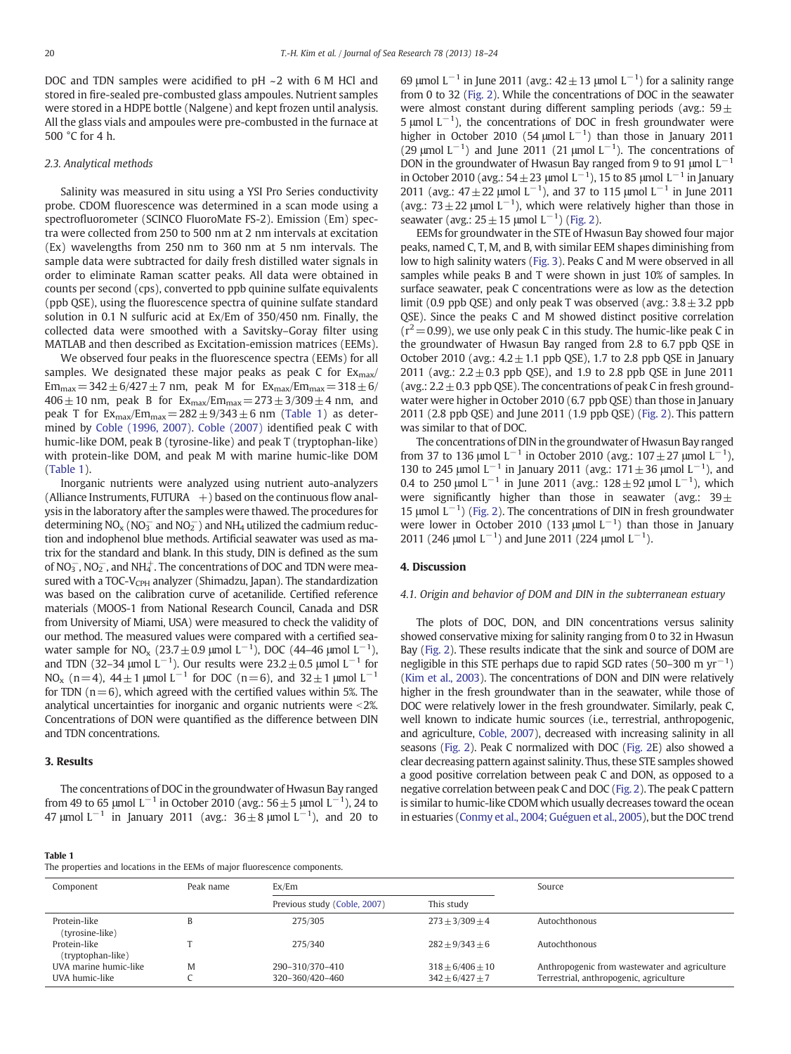DOC and TDN samples were acidified to pH ~2 with 6 M HCl and stored in fire-sealed pre-combusted glass ampoules. Nutrient samples were stored in a HDPE bottle (Nalgene) and kept frozen until analysis. All the glass vials and ampoules were pre-combusted in the furnace at 500 °C for 4 h.

#### 2.3. Analytical methods

Salinity was measured in situ using a YSI Pro Series conductivity probe. CDOM fluorescence was determined in a scan mode using a spectrofluorometer (SCINCO FluoroMate FS-2). Emission (Em) spectra were collected from 250 to 500 nm at 2 nm intervals at excitation (Ex) wavelengths from 250 nm to 360 nm at 5 nm intervals. The sample data were subtracted for daily fresh distilled water signals in order to eliminate Raman scatter peaks. All data were obtained in counts per second (cps), converted to ppb quinine sulfate equivalents (ppb QSE), using the fluorescence spectra of quinine sulfate standard solution in 0.1 N sulfuric acid at Ex/Em of 350/450 nm. Finally, the collected data were smoothed with a Savitsky–Goray filter using MATLAB and then described as Excitation-emission matrices (EEMs).

We observed four peaks in the fluorescence spectra (EEMs) for all samples. We designated these major peaks as peak  $C$  for  $Ex_{\text{max}}/$  $Em_{max} = 342 \pm 6/427 \pm 7$  nm, peak M for  $Ex_{max}/Em_{max} = 318 \pm 6/7$  $406 \pm 10$  nm, peak B for  $Ex_{max}/Em_{max} = 273 \pm 3/309 \pm 4$  nm, and peak T for  $Ex_{max}/Em_{max} = 282 \pm 9/343 \pm 6$  nm (Table 1) as determined by [Coble \(1996, 2007\)](#page-6-0). [Coble \(2007\)](#page-6-0) identified peak C with humic-like DOM, peak B (tyrosine-like) and peak T (tryptophan-like) with protein-like DOM, and peak M with marine humic-like DOM (Table 1).

Inorganic nutrients were analyzed using nutrient auto-analyzers (Alliance Instruments, FUTURA  $+$ ) based on the continuous flow analysis in the laboratory after the samples were thawed. The procedures for determining  $NO<sub>x</sub> (NO<sub>3</sub><sup>-</sup> and NO<sub>2</sub><sup>-</sup>)$  and  $NH<sub>4</sub>$  utilized the cadmium reduction and indophenol blue methods. Artificial seawater was used as matrix for the standard and blank. In this study, DIN is defined as the sum of  $NO_3^-$ ,  $NO_2^-$ , and  $NH_4^+$ . The concentrations of DOC and TDN were measured with a TOC-V<sub>CPH</sub> analyzer (Shimadzu, Japan). The standardization was based on the calibration curve of acetanilide. Certified reference materials (MOOS-1 from National Research Council, Canada and DSR from University of Miami, USA) were measured to check the validity of our method. The measured values were compared with a certified seawater sample for NO<sub>x</sub> (23.7  $\pm$  0.9 µmol L<sup>-1</sup>), DOC (44–46 µmol L<sup>-1</sup>), and TDN (32–34 µmol L<sup>-1</sup>). Our results were 23.2  $\pm$  0.5 µmol L<sup>-1</sup> for NO<sub>x</sub> (n=4),  $44 \pm 1$  μmol L<sup>-1</sup> for DOC (n=6), and  $32 \pm 1$  μmol L<sup>-1</sup> for TDN  $(n=6)$ , which agreed with the certified values within 5%. The analytical uncertainties for inorganic and organic nutrients were  $<$ 2%. Concentrations of DON were quantified as the difference between DIN and TDN concentrations.

#### 3. Results

The concentrations of DOC in the groundwater of Hwasun Bay ranged from 49 to 65  $\mu$ mol L<sup>-1</sup> in October 2010 (avg.: 56  $\pm$  5  $\mu$ mol L<sup>-1</sup>), 24 to 47  $\mu$ mol L<sup>-1</sup> in January 2011 (avg.: 36  $\pm$  8  $\mu$ mol L<sup>-1</sup>), and 20 to

69 μmol L<sup>-1</sup> in June 2011 (avg.:  $42 \pm 13$  μmol L<sup>-1</sup>) for a salinity range from 0 to 32 [\(Fig. 2](#page-3-0)). While the concentrations of DOC in the seawater were almost constant during different sampling periods (avg.:  $59\pm$ 5 μmol  $L^{-1}$ ), the concentrations of DOC in fresh groundwater were higher in October 2010 (54 µmol  $L^{-1}$ ) than those in January 2011 (29 µmol  $L^{-1}$ ) and June 2011 (21 µmol  $L^{-1}$ ). The concentrations of DON in the groundwater of Hwasun Bay ranged from 9 to 91  $\mu$ mol L<sup>-1</sup> in October 2010 (avg.:  $54 \pm 23$  µmol L<sup>-1</sup>), 15 to 85 µmol L<sup>-1</sup> in January 2011 (avg.:  $47 \pm 22$  µmol L<sup>-1</sup>), and 37 to 115 µmol L<sup>-1</sup> in June 2011 (avg.:  $73 \pm 22$  µmol L<sup>-1</sup>), which were relatively higher than those in seawater (avg.:  $25 \pm 15$  µmol  $L^{-1}$ ) ([Fig. 2\)](#page-3-0).

EEMs for groundwater in the STE of Hwasun Bay showed four major peaks, named C, T, M, and B, with similar EEM shapes diminishing from low to high salinity waters ([Fig. 3](#page-4-0)). Peaks C and M were observed in all samples while peaks B and T were shown in just 10% of samples. In surface seawater, peak C concentrations were as low as the detection limit (0.9 ppb QSE) and only peak T was observed (avg.:  $3.8 \pm 3.2$  ppb QSE). Since the peaks C and M showed distinct positive correlation  $(r^2=0.99)$ , we use only peak C in this study. The humic-like peak C in the groundwater of Hwasun Bay ranged from 2.8 to 6.7 ppb QSE in October 2010 (avg.:  $4.2 \pm 1.1$  ppb QSE), 1.7 to 2.8 ppb QSE in January 2011 (avg.:  $2.2 \pm 0.3$  ppb QSE), and 1.9 to 2.8 ppb QSE in June 2011 (avg.:  $2.2 \pm 0.3$  ppb QSE). The concentrations of peak C in fresh groundwater were higher in October 2010 (6.7 ppb QSE) than those in January 2011 (2.8 ppb QSE) and June 2011 (1.9 ppb QSE) ([Fig. 2](#page-3-0)). This pattern was similar to that of DOC.

The concentrations of DIN in the groundwater of Hwasun Bay ranged from 37 to 136 μmol L<sup>-1</sup> in October 2010 (avg.: 107 $\pm$ 27 μmol L<sup>-1</sup> ), 130 to 245 μmol L<sup>-1</sup> in January 2011 (avg.: 171  $\pm$  36 μmol L<sup>-1</sup>), and 0.4 to 250 μmol L<sup>-1</sup> in June 2011 (avg.:  $128 \pm 92$  μmol L<sup>-1</sup>), which were significantly higher than those in seawater (avg.:  $39\pm$ 15 μmol  $L^{-1}$ ) [\(Fig. 2\)](#page-3-0). The concentrations of DIN in fresh groundwater were lower in October 2010 (133 µmol  $L^{-1}$ ) than those in January 2011 (246 µmol  $L^{-1}$ ) and June 2011 (224 µmol  $L^{-1}$ ).

#### 4. Discussion

#### 4.1. Origin and behavior of DOM and DIN in the subterranean estuary

The plots of DOC, DON, and DIN concentrations versus salinity showed conservative mixing for salinity ranging from 0 to 32 in Hwasun Bay [\(Fig. 2\)](#page-3-0). These results indicate that the sink and source of DOM are negligible in this STE perhaps due to rapid SGD rates (50–300 m  $\text{yr}^{-1}$ ) [\(Kim et al., 2003](#page-6-0)). The concentrations of DON and DIN were relatively higher in the fresh groundwater than in the seawater, while those of DOC were relatively lower in the fresh groundwater. Similarly, peak C, well known to indicate humic sources (i.e., terrestrial, anthropogenic, and agriculture, [Coble, 2007](#page-6-0)), decreased with increasing salinity in all seasons ([Fig. 2\)](#page-3-0). Peak C normalized with DOC [\(Fig. 2](#page-3-0)E) also showed a clear decreasing pattern against salinity. Thus, these STE samples showed a good positive correlation between peak C and DON, as opposed to a negative correlation between peak C and DOC [\(Fig. 2\)](#page-3-0). The peak C pattern is similar to humic-like CDOM which usually decreases toward the ocean in estuaries [\(Conmy et al., 2004; Guéguen et al., 2005\)](#page-6-0), but the DOC trend

#### Table 1

The properties and locations in the EEMs of major fluorescence components.

| Component                               | Peak name | Ex/Em                              |                                         | Source                                                                                   |  |  |
|-----------------------------------------|-----------|------------------------------------|-----------------------------------------|------------------------------------------------------------------------------------------|--|--|
|                                         |           | Previous study (Coble, 2007)       | This study                              |                                                                                          |  |  |
| Protein-like<br>(tyrosine-like)         |           | 275/305                            | $273 \pm 3/309 \pm 4$                   | Autochthonous                                                                            |  |  |
| Protein-like<br>(tryptophan-like)       |           | 275/340                            | $282 + 9/343 + 6$                       | Autochthonous                                                                            |  |  |
| UVA marine humic-like<br>UVA humic-like | M         | 290-310/370-410<br>320-360/420-460 | $318 + 6/406 + 10$<br>$342 + 6/427 + 7$ | Anthropogenic from wastewater and agriculture<br>Terrestrial, anthropogenic, agriculture |  |  |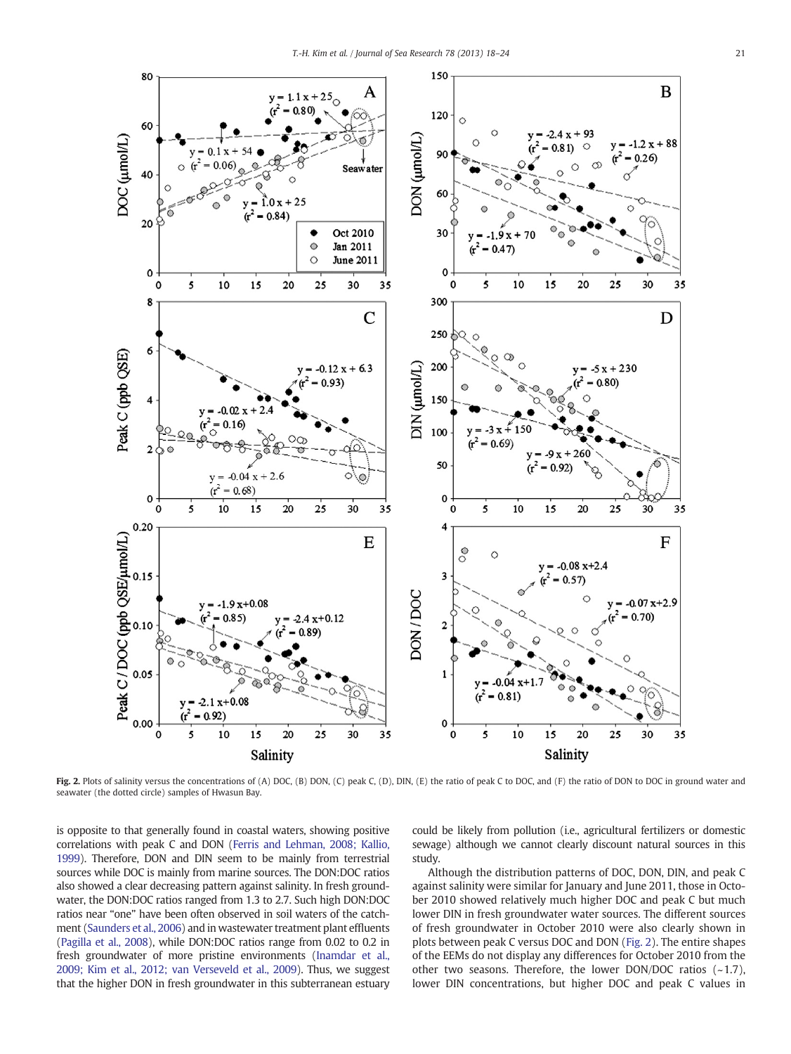<span id="page-3-0"></span>

Fig. 2. Plots of salinity versus the concentrations of (A) DOC, (B) DON, (C) peak C, (D), DIN, (E) the ratio of peak C to DOC, and (F) the ratio of DON to DOC in ground water and seawater (the dotted circle) samples of Hwasun Bay.

is opposite to that generally found in coastal waters, showing positive correlations with peak C and DON [\(Ferris and Lehman, 2008; Kallio,](#page-6-0) [1999](#page-6-0)). Therefore, DON and DIN seem to be mainly from terrestrial sources while DOC is mainly from marine sources. The DON:DOC ratios also showed a clear decreasing pattern against salinity. In fresh groundwater, the DON:DOC ratios ranged from 1.3 to 2.7. Such high DON:DOC ratios near "one" have been often observed in soil waters of the catchment [\(Saunders et al., 2006](#page-6-0)) and in wastewater treatment plant effluents [\(Pagilla et al., 2008\)](#page-6-0), while DON:DOC ratios range from 0.02 to 0.2 in fresh groundwater of more pristine environments [\(Inamdar et al.,](#page-6-0) [2009; Kim et al., 2012; van Verseveld et al., 2009](#page-6-0)). Thus, we suggest that the higher DON in fresh groundwater in this subterranean estuary could be likely from pollution (i.e., agricultural fertilizers or domestic sewage) although we cannot clearly discount natural sources in this study.

Although the distribution patterns of DOC, DON, DIN, and peak C against salinity were similar for January and June 2011, those in October 2010 showed relatively much higher DOC and peak C but much lower DIN in fresh groundwater water sources. The different sources of fresh groundwater in October 2010 were also clearly shown in plots between peak C versus DOC and DON (Fig. 2). The entire shapes of the EEMs do not display any differences for October 2010 from the other two seasons. Therefore, the lower DON/DOC ratios  $(-1.7)$ , lower DIN concentrations, but higher DOC and peak C values in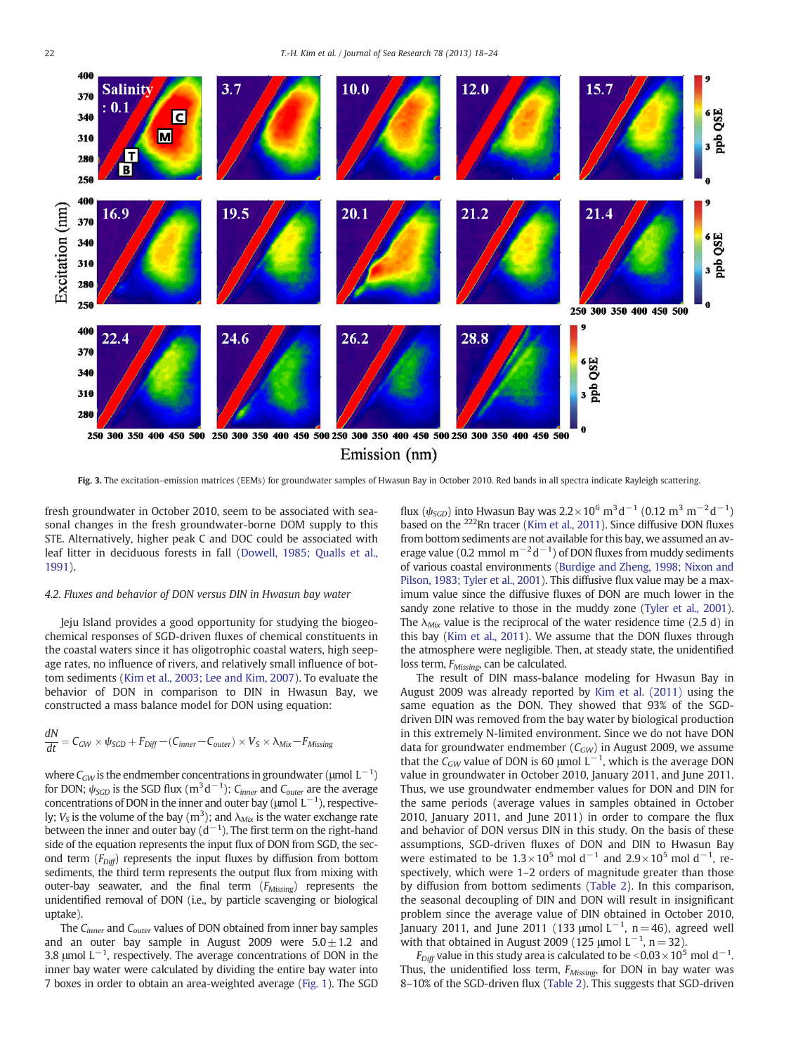<span id="page-4-0"></span>

Fig. 3. The excitation–emission matrices (EEMs) for groundwater samples of Hwasun Bay in October 2010. Red bands in all spectra indicate Rayleigh scattering.

fresh groundwater in October 2010, seem to be associated with seasonal changes in the fresh groundwater-borne DOM supply to this STE. Alternatively, higher peak C and DOC could be associated with leaf litter in deciduous forests in fall ([Dowell, 1985; Qualls et al.,](#page-6-0) [1991\)](#page-6-0).

#### 4.2. Fluxes and behavior of DON versus DIN in Hwasun bay water

Jeju Island provides a good opportunity for studying the biogeochemical responses of SGD-driven fluxes of chemical constituents in the coastal waters since it has oligotrophic coastal waters, high seepage rates, no influence of rivers, and relatively small influence of bottom sediments [\(Kim et al., 2003; Lee and Kim, 2007\)](#page-6-0). To evaluate the behavior of DON in comparison to DIN in Hwasun Bay, we constructed a mass balance model for DON using equation:

$$
\frac{dN}{dt} = C_{GW} \times \psi_{SGD} + F_{Diff} - (C_{inner} - C_{outer}) \times V_S \times \lambda_{Mix} - F_{Missing}
$$

where  $C_{GW}$  is the endmember concentrations in groundwater (µmol  $\rm L^{-1})$ for DON;  $\psi_{SGD}$  is the SGD flux (m<sup>3</sup>d<sup>-1</sup>); C<sub>inner</sub> and C<sub>outer</sub> are the average concentrations of DON in the inner and outer bay ( $\mu$ mol  $L^{-1}$ ), respectively;  $V_S$  is the volume of the bay  $(m^3)$ ; and  $\lambda_{Mix}$  is the water exchange rate between the inner and outer bay (d $^{-1}$ ). The first term on the right-hand side of the equation represents the input flux of DON from SGD, the second term  $(F_{Diff})$  represents the input fluxes by diffusion from bottom sediments, the third term represents the output flux from mixing with outer-bay seawater, and the final term  $(F_{\text{Missing}})$  represents the unidentified removal of DON (i.e., by particle scavenging or biological uptake).

The C<sub>inner</sub> and C<sub>outer</sub> values of DON obtained from inner bay samples and an outer bay sample in August 2009 were  $5.0 \pm 1.2$  and 3.8 µmol  $L^{-1}$ , respectively. The average concentrations of DON in the inner bay water were calculated by dividing the entire bay water into 7 boxes in order to obtain an area-weighted average ([Fig. 1\)](#page-1-0). The SGD flux ( $\psi_{SGD}$ ) into Hwasun Bay was 2.2×10<sup>6</sup> m<sup>3</sup>d<sup>-1</sup> (0.12 m<sup>3</sup> m<sup>-2</sup>d<sup>-1</sup>) based on the <sup>222</sup>Rn tracer [\(Kim et al., 2011](#page-6-0)). Since diffusive DON fluxes from bottom sediments are not available for this bay, we assumed an average value (0.2 mmol  $m^{-2}d^{-1}$ ) of DON fluxes from muddy sediments of various coastal environments [\(Burdige and Zheng, 1998; Nixon and](#page-5-0) [Pilson, 1983; Tyler et al., 2001](#page-5-0)). This diffusive flux value may be a maximum value since the diffusive fluxes of DON are much lower in the sandy zone relative to those in the muddy zone ([Tyler et al., 2001\)](#page-6-0). The  $\lambda_{Mix}$  value is the reciprocal of the water residence time (2.5 d) in this bay [\(Kim et al., 2011](#page-6-0)). We assume that the DON fluxes through the atmosphere were negligible. Then, at steady state, the unidentified loss term, F<sub>Missing</sub>, can be calculated.

The result of DIN mass-balance modeling for Hwasun Bay in August 2009 was already reported by [Kim et al. \(2011\)](#page-6-0) using the same equation as the DON. They showed that 93% of the SGDdriven DIN was removed from the bay water by biological production in this extremely N-limited environment. Since we do not have DON data for groundwater endmember  $(C_{GW})$  in August 2009, we assume that the  $C_{GW}$  value of DON is 60 µmol  $L^{-1}$ , which is the average DON value in groundwater in October 2010, January 2011, and June 2011. Thus, we use groundwater endmember values for DON and DIN for the same periods (average values in samples obtained in October 2010, January 2011, and June 2011) in order to compare the flux and behavior of DON versus DIN in this study. On the basis of these assumptions, SGD-driven fluxes of DON and DIN to Hwasun Bay were estimated to be  $1.3 \times 10^5$  mol d<sup>-1</sup> and  $2.9 \times 10^5$  mol d<sup>-1</sup>, respectively, which were 1–2 orders of magnitude greater than those by diffusion from bottom sediments ([Table 2](#page-5-0)). In this comparison, the seasonal decoupling of DIN and DON will result in insignificant problem since the average value of DIN obtained in October 2010, January 2011, and June 2011 (133 µmol  $L^{-1}$ , n = 46), agreed well with that obtained in August 2009 (125 µmol  $L^{-1}$ , n = 32).

 $F_{\text{Diff}}$  value in this study area is calculated to be <0.03 × 10<sup>5</sup> mol d<sup>-1</sup>. Thus, the unidentified loss term,  $F_{\text{Missing}}$ , for DON in bay water was 8–10% of the SGD-driven flux [\(Table 2](#page-5-0)). This suggests that SGD-driven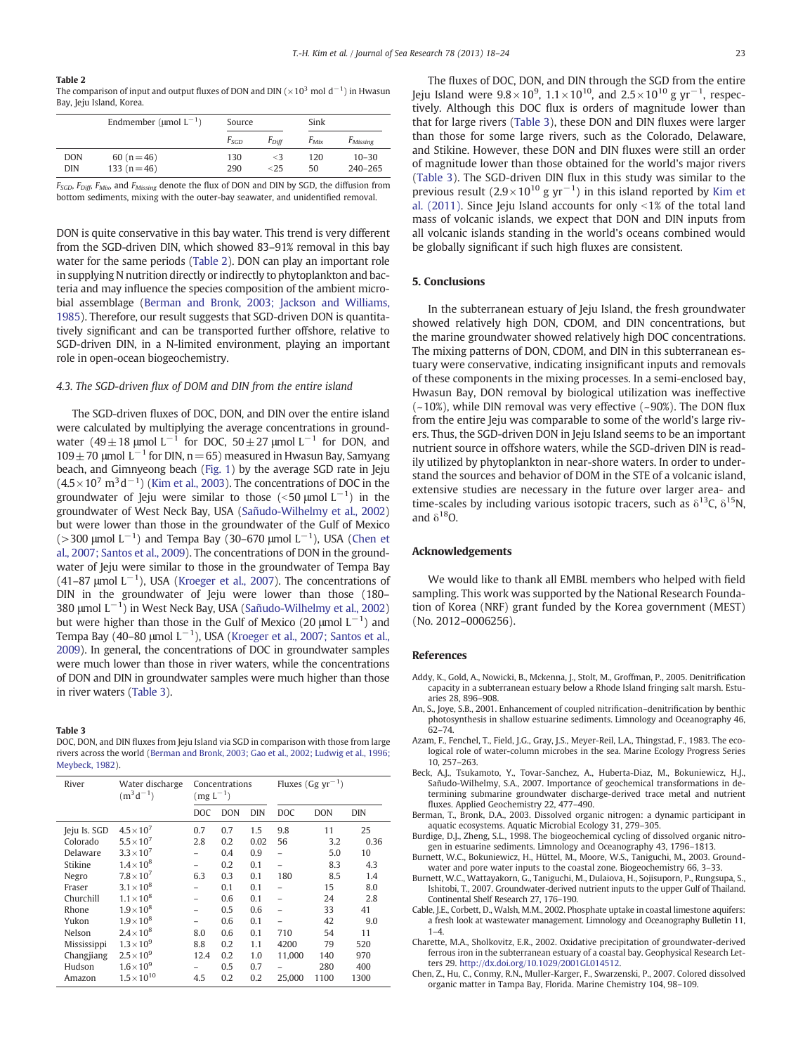#### <span id="page-5-0"></span>Table 2

The comparison of input and output fluxes of DON and DIN ( $\times10^3$  mol  $\rm{d^{-1}}$ ) in Hwasun Bay, Jeju Island, Korea.

|            | Endmember ( $\mu$ mol L <sup>-1</sup> ) | Source |            | Sink      |                      |
|------------|-----------------------------------------|--------|------------|-----------|----------------------|
|            |                                         | Esco   | $F_{Diff}$ | $F_{Mix}$ | F <sub>Missing</sub> |
| <b>DON</b> | 60 ( $n = 46$ )                         | 130    | $\leq$ 3   | 120       | $10 - 30$            |
| DIN        | 133 $(n=46)$                            | 290    | < 25       | 50        | $240 - 265$          |

 $F_{SGD}$ ,  $F_{Diff}$ ,  $F_{Mix}$ , and  $F_{Missing}$  denote the flux of DON and DIN by SGD, the diffusion from bottom sediments, mixing with the outer-bay seawater, and unidentified removal.

DON is quite conservative in this bay water. This trend is very different from the SGD-driven DIN, which showed 83–91% removal in this bay water for the same periods (Table 2). DON can play an important role in supplying N nutrition directly or indirectly to phytoplankton and bacteria and may influence the species composition of the ambient microbial assemblage (Berman and Bronk, 2003; Jackson and Williams, 1985). Therefore, our result suggests that SGD-driven DON is quantitatively significant and can be transported further offshore, relative to SGD-driven DIN, in a N-limited environment, playing an important role in open-ocean biogeochemistry.

#### 4.3. The SGD-driven flux of DOM and DIN from the entire island

The SGD-driven fluxes of DOC, DON, and DIN over the entire island were calculated by multiplying the average concentrations in groundwater (49 ± 18 µmol L<sup>-1</sup> for DOC, 50 ± 27 µmol L<sup>-1</sup> for DON, and  $109±70$  μmol L<sup>-1</sup> for DIN, n = 65) measured in Hwasun Bay, Samyang beach, and Gimnyeong beach ([Fig. 1\)](#page-1-0) by the average SGD rate in Jeju  $(4.5\times10^{7} \text{ m}^{3} \text{d}^{-1})$  [\(Kim et al., 2003](#page-6-0)). The concentrations of DOC in the groundwater of Jeju were similar to those (<50  $\mu$ mol L $^{-1}$ ) in the groundwater of West Neck Bay, USA [\(Sañudo-Wilhelmy et al., 2002](#page-6-0)) but were lower than those in the groundwater of the Gulf of Mexico (>300 µmol  $L^{-1}$ ) and Tempa Bay (30–670 µmol  $L^{-1}$ ), USA (Chen et al., 2007; Santos et al., 2009). The concentrations of DON in the groundwater of Jeju were similar to those in the groundwater of Tempa Bay (41–87 µmol  $L^{-1}$ ), USA [\(Kroeger et al., 2007](#page-6-0)). The concentrations of DIN in the groundwater of Jeju were lower than those (180– 380 μmol L−<sup>1</sup> ) in West Neck Bay, USA ([Sañudo-Wilhelmy et al., 2002](#page-6-0)) but were higher than those in the Gulf of Mexico (20 µmol  $L^{-1}$ ) and Tempa Bay (40–80 µmol L $^{-1}$ ), USA [\(Kroeger et al., 2007; Santos et al.,](#page-6-0) [2009](#page-6-0)). In general, the concentrations of DOC in groundwater samples were much lower than those in river waters, while the concentrations of DON and DIN in groundwater samples were much higher than those in river waters (Table 3).

#### Table 3

DOC, DON, and DIN fluxes from Jeju Island via SGD in comparison with those from large rivers across the world (Berman and Bronk, 2003; Gao et al., 2002; Ludwig et al., 1996; Meybeck, 1982).

| River        | Water discharge<br>$(m^3d^{-1})$ | Concentrations<br>$(mg L^{-1})$ |            | Fluxes (Gg $\rm{vr}^{-1}$ ) |                |            |            |
|--------------|----------------------------------|---------------------------------|------------|-----------------------------|----------------|------------|------------|
|              |                                  | DOC                             | <b>DON</b> | <b>DIN</b>                  | <b>DOC</b>     | <b>DON</b> | <b>DIN</b> |
| Jeju Is. SGD | $4.5 \times 10^{7}$              | 0.7                             | 0.7        | 1.5                         | 9.8            | 11         | 25         |
| Colorado     | $5.5 \times 10^{7}$              | 2.8                             | 0.2        | 0.02                        | 56             | 3.2        | 0.36       |
| Delaware     | $3.3 \times 10^{7}$              |                                 | 0.4        | 0.9                         | $\overline{a}$ | 5.0        | 10         |
| Stikine      | $1.4 \times 10^{8}$              |                                 | 0.2        | 0.1                         |                | 8.3        | 4.3        |
| Negro        | $7.8\times10^7$                  | 6.3                             | 0.3        | 0.1                         | 180            | 8.5        | 1.4        |
| Fraser       | $3.1 \times 10^{8}$              |                                 | 0.1        | 0.1                         |                | 15         | 8.0        |
| Churchill    | $1.1 \times 10^{8}$              |                                 | 0.6        | 0.1                         | $\overline{a}$ | 24         | 2.8        |
| Rhone        | $1.9 \times 10^{8}$              |                                 | 0.5        | 0.6                         |                | 33         | 41         |
| Yukon        | $1.9 \times 10^{8}$              |                                 | 0.6        | 0.1                         |                | 42         | 9.0        |
| Nelson       | $2.4 \times 10^{8}$              | 8.0                             | 0.6        | 0.1                         | 710            | 54         | 11         |
| Mississippi  | $1.3 \times 10^{9}$              | 8.8                             | 0.2        | 1.1                         | 4200           | 79         | 520        |
| Changjiang   | $2.5 \times 10^{9}$              | 12.4                            | 0.2        | 1.0                         | 11,000         | 140        | 970        |
| Hudson       | $1.6 \times 10^{9}$              |                                 | 0.5        | 0.7                         |                | 280        | 400        |
| Amazon       | $1.5\times10^{10}$               | 4.5                             | 0.2        | 0.2                         | 25,000         | 1100       | 1300       |

The fluxes of DOC, DON, and DIN through the SGD from the entire Jeju Island were 9.8 $\times 10^9$ , 1.1 $\times 10^{10}$ , and 2.5 $\times 10^{10}$  g yr $^{-1}$ , respectively. Although this DOC flux is orders of magnitude lower than that for large rivers (Table 3), these DON and DIN fluxes were larger than those for some large rivers, such as the Colorado, Delaware, and Stikine. However, these DON and DIN fluxes were still an order of magnitude lower than those obtained for the world's major rivers (Table 3). The SGD-driven DIN flux in this study was similar to the previous result  $(2.9 \times 10^{10} \text{ g yr}^{-1})$  in this island reported by [Kim et](#page-6-0) [al. \(2011\)](#page-6-0). Since Jeju Island accounts for only  $\leq$ 1% of the total land mass of volcanic islands, we expect that DON and DIN inputs from all volcanic islands standing in the world's oceans combined would be globally significant if such high fluxes are consistent.

### 5. Conclusions

In the subterranean estuary of Jeju Island, the fresh groundwater showed relatively high DON, CDOM, and DIN concentrations, but the marine groundwater showed relatively high DOC concentrations. The mixing patterns of DON, CDOM, and DIN in this subterranean estuary were conservative, indicating insignificant inputs and removals of these components in the mixing processes. In a semi-enclosed bay, Hwasun Bay, DON removal by biological utilization was ineffective  $(-10%)$ , while DIN removal was very effective  $(-90%)$ . The DON flux from the entire Jeju was comparable to some of the world's large rivers. Thus, the SGD-driven DON in Jeju Island seems to be an important nutrient source in offshore waters, while the SGD-driven DIN is readily utilized by phytoplankton in near-shore waters. In order to understand the sources and behavior of DOM in the STE of a volcanic island, extensive studies are necessary in the future over larger area- and time-scales by including various isotopic tracers, such as  $\delta^{13}C$ ,  $\delta^{15}N$ , and  $\delta^{18}$ O.

#### Acknowledgements

We would like to thank all EMBL members who helped with field sampling. This work was supported by the National Research Foundation of Korea (NRF) grant funded by the Korea government (MEST) (No. 2012–0006256).

#### References

- Addy, K., Gold, A., Nowicki, B., Mckenna, J., Stolt, M., Groffman, P., 2005. Denitrification capacity in a subterranean estuary below a Rhode Island fringing salt marsh. Estuaries 28, 896–908.
- An, S., Joye, S.B., 2001. Enhancement of coupled nitrification–denitrification by benthic photosynthesis in shallow estuarine sediments. Limnology and Oceanography 46, 62–74.
- Azam, F., Fenchel, T., Field, J.G., Gray, J.S., Meyer-Reil, L.A., Thingstad, F., 1983. The ecological role of water-column microbes in the sea. Marine Ecology Progress Series 10, 257–263.
- Beck, A.J., Tsukamoto, Y., Tovar-Sanchez, A., Huberta-Diaz, M., Bokuniewicz, H.J., Sañudo-Wilhelmy, S.A., 2007. Importance of geochemical transformations in determining submarine groundwater discharge-derived trace metal and nutrient fluxes. Applied Geochemistry 22, 477–490.
- Berman, T., Bronk, D.A., 2003. Dissolved organic nitrogen: a dynamic participant in aquatic ecosystems. Aquatic Microbial Ecology 31, 279–305.
- Burdige, D.J., Zheng, S.L., 1998. The biogeochemical cycling of dissolved organic nitrogen in estuarine sediments. Limnology and Oceanography 43, 1796–1813.
- Burnett, W.C., Bokuniewicz, H., Hüttel, M., Moore, W.S., Taniguchi, M., 2003. Groundwater and pore water inputs to the coastal zone. Biogeochemistry 66, 3–33.
- Burnett, W.C., Wattayakorn, G., Taniguchi, M., Dulaiova, H., Sojisuporn, P., Rungsupa, S., Ishitobi, T., 2007. Groundwater-derived nutrient inputs to the upper Gulf of Thailand. Continental Shelf Research 27, 176–190.
- Cable, J.E., Corbett, D., Walsh, M.M., 2002. Phosphate uptake in coastal limestone aquifers: a fresh look at wastewater management. Limnology and Oceanography Bulletin 11,  $1 - 4$
- Charette, M.A., Sholkovitz, E.R., 2002. Oxidative precipitation of groundwater-derived ferrous iron in the subterranean estuary of a coastal bay. Geophysical Research Letters 29. http://dx.doi.org/[10.1029/2001GL014512.](http://dx.doi.org/10.1029/2001GL014512)
- Chen, Z., Hu, C., Conmy, R.N., Muller-Karger, F., Swarzenski, P., 2007. Colored dissolved organic matter in Tampa Bay, Florida. Marine Chemistry 104, 98–109.